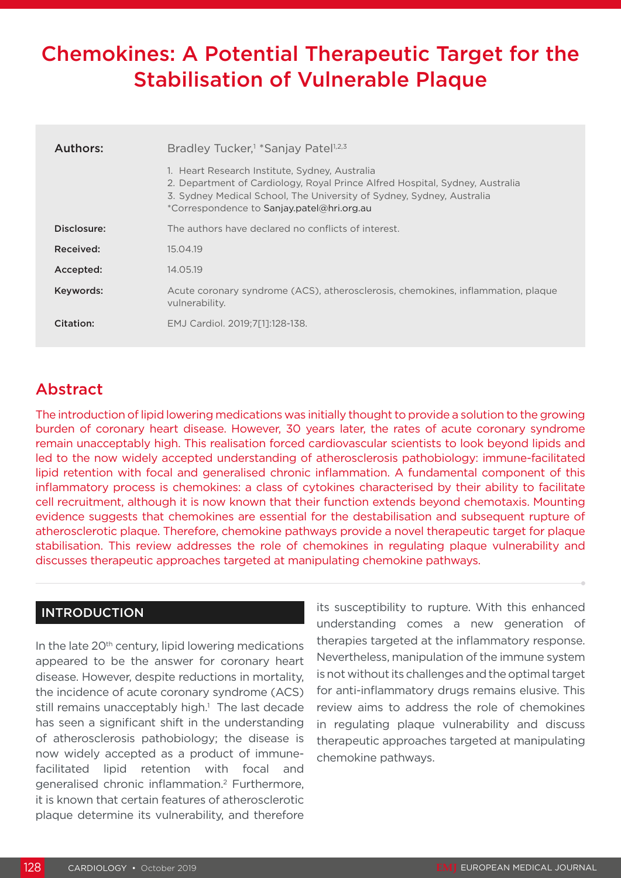# Chemokines: A Potential Therapeutic Target for the Stabilisation of Vulnerable Plaque

| Authors:    | Bradley Tucker, <sup>1</sup> *Sanjay Patel <sup>1,2,3</sup>                                                                                                                                                                                           |  |  |
|-------------|-------------------------------------------------------------------------------------------------------------------------------------------------------------------------------------------------------------------------------------------------------|--|--|
|             | 1. Heart Research Institute, Sydney, Australia<br>2. Department of Cardiology, Royal Prince Alfred Hospital, Sydney, Australia<br>3. Sydney Medical School, The University of Sydney, Sydney, Australia<br>*Correspondence to Sanjay.patel@hri.org.au |  |  |
| Disclosure: | The authors have declared no conflicts of interest.                                                                                                                                                                                                   |  |  |
| Received:   | 15.04.19                                                                                                                                                                                                                                              |  |  |
| Accepted:   | 14.05.19                                                                                                                                                                                                                                              |  |  |
| Keywords:   | Acute coronary syndrome (ACS), atherosclerosis, chemokines, inflammation, plaque<br>vulnerability.                                                                                                                                                    |  |  |
| Citation:   | EMJ Cardiol. 2019:7[11:128-138.                                                                                                                                                                                                                       |  |  |

# Abstract

The introduction of lipid lowering medications was initially thought to provide a solution to the growing burden of coronary heart disease. However, 30 years later, the rates of acute coronary syndrome remain unacceptably high. This realisation forced cardiovascular scientists to look beyond lipids and led to the now widely accepted understanding of atherosclerosis pathobiology: immune-facilitated lipid retention with focal and generalised chronic inflammation. A fundamental component of this inflammatory process is chemokines: a class of cytokines characterised by their ability to facilitate cell recruitment, although it is now known that their function extends beyond chemotaxis. Mounting evidence suggests that chemokines are essential for the destabilisation and subsequent rupture of atherosclerotic plaque. Therefore, chemokine pathways provide a novel therapeutic target for plaque stabilisation. This review addresses the role of chemokines in regulating plaque vulnerability and discusses therapeutic approaches targeted at manipulating chemokine pathways.

#### INTRODUCTION

In the late 20<sup>th</sup> century, lipid lowering medications appeared to be the answer for coronary heart disease. However, despite reductions in mortality, the incidence of acute coronary syndrome (ACS) still remains unacceptably high.<sup>1</sup> The last decade has seen a significant shift in the understanding of atherosclerosis pathobiology; the disease is now widely accepted as a product of immunefacilitated lipid retention with focal and generalised chronic inflammation.2 Furthermore, it is known that certain features of atherosclerotic plaque determine its vulnerability, and therefore

its susceptibility to rupture. With this enhanced understanding comes a new generation of therapies targeted at the inflammatory response. Nevertheless, manipulation of the immune system is not without its challenges and the optimal target for anti-inflammatory drugs remains elusive. This review aims to address the role of chemokines in regulating plaque vulnerability and discuss therapeutic approaches targeted at manipulating chemokine pathways.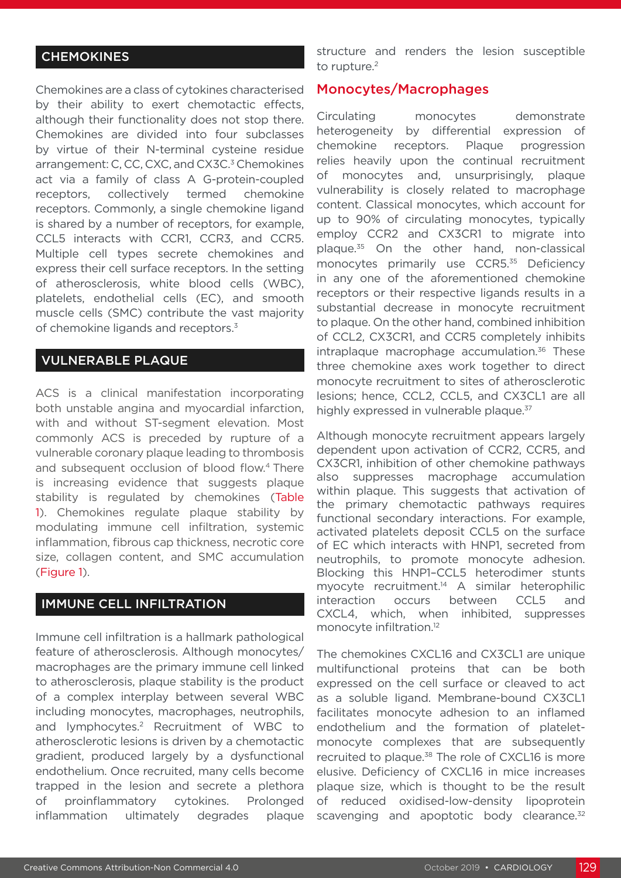### **CHEMOKINES**

Chemokines are a class of cytokines characterised by their ability to exert chemotactic effects, although their functionality does not stop there. Chemokines are divided into four subclasses by virtue of their N-terminal cysteine residue arrangement: C, CC, CXC, and CX3C.<sup>3</sup> Chemokines act via a family of class A G-protein-coupled receptors, collectively termed chemokine receptors. Commonly, a single chemokine ligand is shared by a number of receptors, for example, CCL5 interacts with CCR1, CCR3, and CCR5. Multiple cell types secrete chemokines and express their cell surface receptors. In the setting of atherosclerosis, white blood cells (WBC), platelets, endothelial cells (EC), and smooth muscle cells (SMC) contribute the vast majority of chemokine ligands and receptors.<sup>3</sup>

#### VULNERABLE PLAQUE

ACS is a clinical manifestation incorporating both unstable angina and myocardial infarction, with and without ST-segment elevation. Most commonly ACS is preceded by rupture of a vulnerable coronary plaque leading to thrombosis and subsequent occlusion of blood flow.<sup>4</sup> There is increasing evidence that suggests plaque stability is regulated by chemokines (Table 1). Chemokines regulate plaque stability by modulating immune cell infiltration, systemic inflammation, fibrous cap thickness, necrotic core size, collagen content, and SMC accumulation (Figure 1).

#### IMMUNE CELL INFILTRATION

Immune cell infiltration is a hallmark pathological feature of atherosclerosis. Although monocytes/ macrophages are the primary immune cell linked to atherosclerosis, plaque stability is the product of a complex interplay between several WBC including monocytes, macrophages, neutrophils, and lymphocytes.2 Recruitment of WBC to atherosclerotic lesions is driven by a chemotactic gradient, produced largely by a dysfunctional endothelium. Once recruited, many cells become trapped in the lesion and secrete a plethora of proinflammatory cytokines. Prolonged inflammation ultimately degrades plaque

structure and renders the lesion susceptible to rupture.<sup>2</sup>

#### Monocytes/Macrophages

Circulating monocytes demonstrate heterogeneity by differential expression of chemokine receptors. Plaque progression relies heavily upon the continual recruitment of monocytes and, unsurprisingly, plaque vulnerability is closely related to macrophage content. Classical monocytes, which account for up to 90% of circulating monocytes, typically employ CCR2 and CX3CR1 to migrate into plaque.35 On the other hand, non-classical monocytes primarily use CCR5.<sup>35</sup> Deficiency in any one of the aforementioned chemokine receptors or their respective ligands results in a substantial decrease in monocyte recruitment to plaque. On the other hand, combined inhibition of CCL2, CX3CR1, and CCR5 completely inhibits intraplaque macrophage accumulation.<sup>36</sup> These three chemokine axes work together to direct monocyte recruitment to sites of atherosclerotic lesions; hence, CCL2, CCL5, and CX3CL1 are all highly expressed in vulnerable plaque.<sup>37</sup>

Although monocyte recruitment appears largely dependent upon activation of CCR2, CCR5, and CX3CR1, inhibition of other chemokine pathways also suppresses macrophage accumulation within plaque. This suggests that activation of the primary chemotactic pathways requires functional secondary interactions. For example, activated platelets deposit CCL5 on the surface of EC which interacts with HNP1, secreted from neutrophils, to promote monocyte adhesion. Blocking this HNP1–CCL5 heterodimer stunts myocyte recruitment.14 A similar heterophilic interaction occurs between CCL5 and CXCL4, which, when inhibited, suppresses monocyte infiltration.12

The chemokines CXCL16 and CX3CL1 are unique multifunctional proteins that can be both expressed on the cell surface or cleaved to act as a soluble ligand. Membrane-bound CX3CL1 facilitates monocyte adhesion to an inflamed endothelium and the formation of plateletmonocyte complexes that are subsequently recruited to plaque.<sup>38</sup> The role of CXCL16 is more elusive. Deficiency of CXCL16 in mice increases plaque size, which is thought to be the result of reduced oxidised-low-density lipoprotein scavenging and apoptotic body clearance.<sup>32</sup>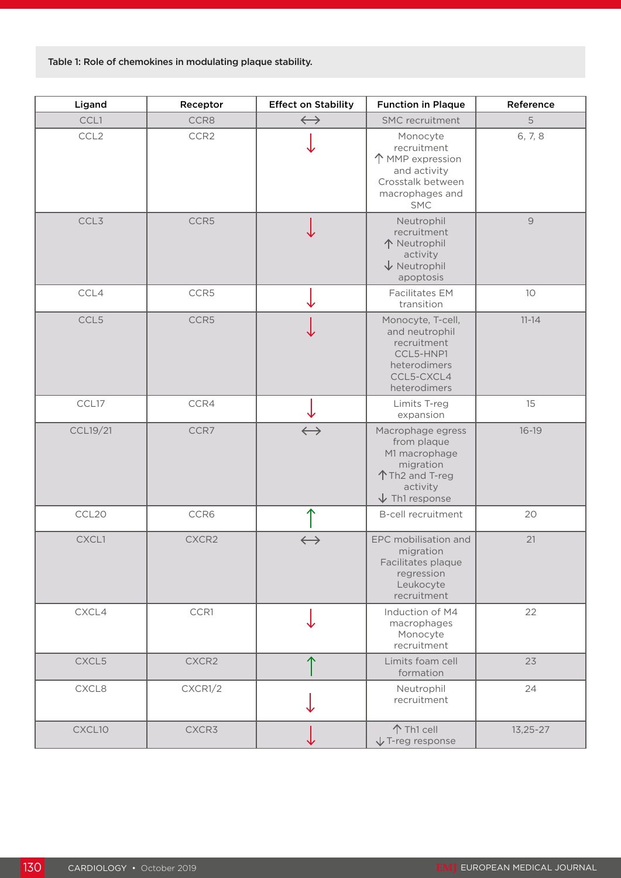Table 1: Role of chemokines in modulating plaque stability.

| Ligand   | Receptor         | <b>Effect on Stability</b> | <b>Function in Plaque</b>                                                                                              | Reference     |
|----------|------------------|----------------------------|------------------------------------------------------------------------------------------------------------------------|---------------|
| CCL1     | CCR8             | $\leftrightarrow$          | <b>SMC</b> recruitment                                                                                                 | 5             |
| CCL2     | CCR <sub>2</sub> |                            | Monocyte<br>recruitment<br>↑ MMP expression<br>and activity<br>Crosstalk between<br>macrophages and<br><b>SMC</b>      | 6, 7, 8       |
| CCL3     | CCR5             |                            | Neutrophil<br>recruitment<br>个 Neutrophil<br>activity<br>$\sqrt{}$ Neutrophil<br>apoptosis                             | $\mathcal{G}$ |
| CCL4     | CCR5             |                            | Facilitates EM<br>transition                                                                                           | 10            |
| CCL5     | CCR5             |                            | Monocyte, T-cell,<br>and neutrophil<br>recruitment<br>CCL5-HNP1<br>heterodimers<br>CCL5-CXCL4<br>heterodimers          | $11 - 14$     |
| CCL17    | CCR4             |                            | Limits T-reg<br>expansion                                                                                              | 15            |
| CCL19/21 | CCR7             | $\longleftrightarrow$      | Macrophage egress<br>from plaque<br>M1 macrophage<br>migration<br>个Th2 and T-reg<br>activity<br>$\sqrt{}$ Th1 response | $16 - 19$     |
| CCL20    | CCR6             |                            | <b>B-cell recruitment</b>                                                                                              | 20            |
| CXCL1    | CXCR2            | $\leftrightarrow$          | EPC mobilisation and<br>migration<br>Facilitates plaque<br>regression<br>Leukocyte<br>recruitment                      | 21            |
| CXCL4    | CCR1             |                            | Induction of M4<br>macrophages<br>Monocyte<br>recruitment                                                              | 22            |
| CXCL5    | CXCR2            |                            | Limits foam cell<br>formation                                                                                          | 23            |
| CXCL8    | CXCR1/2          |                            | Neutrophil<br>recruitment                                                                                              | 24            |
| CXCL10   | CXCR3            |                            | 个 Th1 cell<br>$\sqrt{}$ T-reg response                                                                                 | $13,25 - 27$  |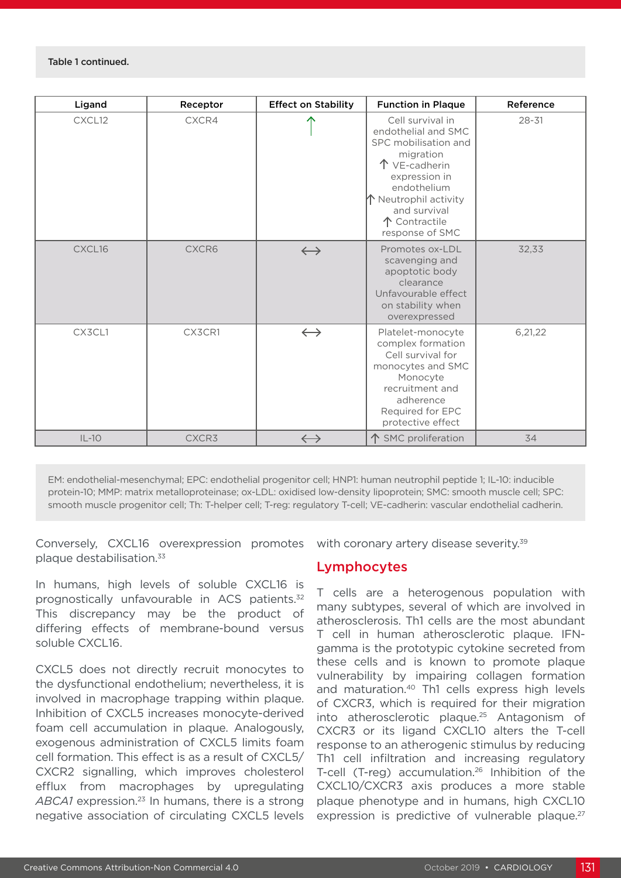| Ligand  | Receptor | <b>Effect on Stability</b> | <b>Function in Plaque</b>                                                                                                                                                                                            | Reference |
|---------|----------|----------------------------|----------------------------------------------------------------------------------------------------------------------------------------------------------------------------------------------------------------------|-----------|
| CXCL12  | CXCR4    |                            | Cell survival in<br>endothelial and SMC<br>SPC mobilisation and<br>migration<br>个 VE-cadherin<br>expression in<br>endothelium<br>$\bigwedge$ Neutrophil activity<br>and survival<br>↑ Contractile<br>response of SMC | $28 - 31$ |
| CXCL16  | CXCR6    | $\leftrightarrow$          | Promotes ox-LDL<br>scavenging and<br>apoptotic body<br>clearance<br>Unfavourable effect<br>on stability when<br>overexpressed                                                                                        | 32,33     |
| CX3CL1  | CX3CR1   | $\leftrightarrow$          | Platelet-monocyte<br>complex formation<br>Cell survival for<br>monocytes and SMC<br>Monocyte<br>recruitment and<br>adherence<br>Required for EPC<br>protective effect                                                | 6,21,22   |
| $IL-10$ | CXCR3    | $\leftrightarrow$          | 个 SMC proliferation                                                                                                                                                                                                  | 34        |

EM: endothelial-mesenchymal; EPC: endothelial progenitor cell; HNP1: human neutrophil peptide 1; IL-10: inducible protein-10; MMP: matrix metalloproteinase; ox-LDL: oxidised low-density lipoprotein; SMC: smooth muscle cell; SPC: smooth muscle progenitor cell; Th: T-helper cell; T-reg: regulatory T-cell; VE-cadherin: vascular endothelial cadherin.

Conversely, CXCL16 overexpression promotes plaque destabilisation.33

In humans, high levels of soluble CXCL16 is prognostically unfavourable in ACS patients.<sup>32</sup> This discrepancy may be the product of differing effects of membrane-bound versus soluble CXCL16.

CXCL5 does not directly recruit monocytes to the dysfunctional endothelium; nevertheless, it is involved in macrophage trapping within plaque. Inhibition of CXCL5 increases monocyte-derived foam cell accumulation in plaque. Analogously, exogenous administration of CXCL5 limits foam cell formation. This effect is as a result of CXCL5/ CXCR2 signalling, which improves cholesterol efflux from macrophages by upregulating ABCA1 expression.<sup>23</sup> In humans, there is a strong negative association of circulating CXCL5 levels

with coronary artery disease severity.<sup>39</sup>

#### Lymphocytes

T cells are a heterogenous population with many subtypes, several of which are involved in atherosclerosis. Th1 cells are the most abundant T cell in human atherosclerotic plaque. IFNgamma is the prototypic cytokine secreted from these cells and is known to promote plaque vulnerability by impairing collagen formation and maturation.40 Th1 cells express high levels of CXCR3, which is required for their migration into atherosclerotic plaque.25 Antagonism of CXCR3 or its ligand CXCL10 alters the T-cell response to an atherogenic stimulus by reducing Th1 cell infiltration and increasing regulatory T-cell (T-reg) accumulation.<sup>26</sup> Inhibition of the CXCL10/CXCR3 axis produces a more stable plaque phenotype and in humans, high CXCL10 expression is predictive of vulnerable plaque. $27$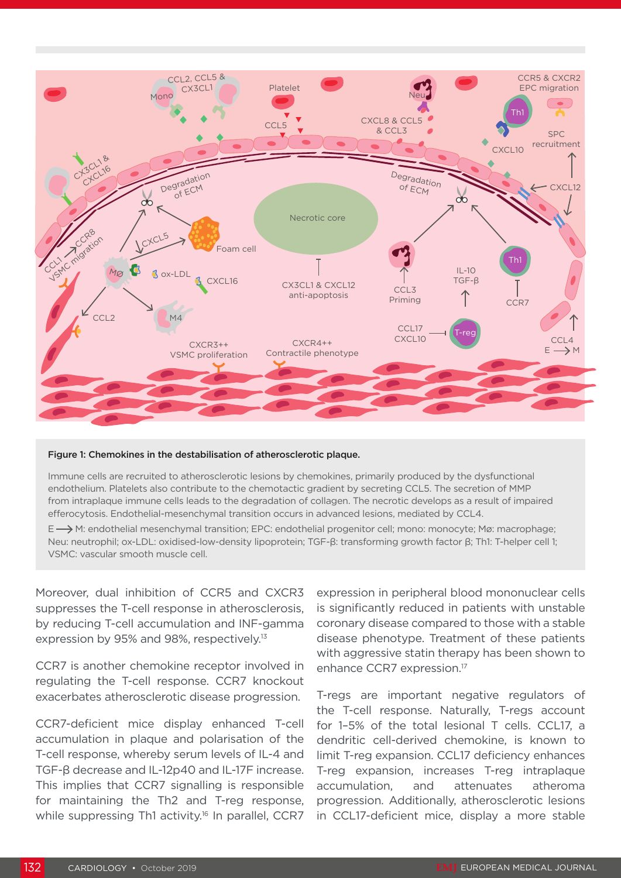

#### Figure 1: Chemokines in the destabilisation of atherosclerotic plaque.

Immune cells are recruited to atherosclerotic lesions by chemokines, primarily produced by the dysfunctional endothelium. Platelets also contribute to the chemotactic gradient by secreting CCL5. The secretion of MMP from intraplaque immune cells leads to the degradation of collagen. The necrotic develops as a result of impaired efferocytosis. Endothelial-mesenchymal transition occurs in advanced lesions, mediated by CCL4.

E  $\rightarrow$  M: endothelial mesenchymal transition; EPC: endothelial progenitor cell; mono: monocyte; Mø: macrophage; Neu: neutrophil; ox-LDL: oxidised-low-density lipoprotein; TGF-β: transforming growth factor β; Th1: T-helper cell 1; VSMC: vascular smooth muscle cell.

Moreover, dual inhibition of CCR5 and CXCR3 suppresses the T-cell response in atherosclerosis, by reducing T-cell accumulation and INF-gamma expression by 95% and 98%, respectively.<sup>13</sup>

CCR7 is another chemokine receptor involved in regulating the T-cell response. CCR7 knockout exacerbates atherosclerotic disease progression.

CCR7-deficient mice display enhanced T-cell accumulation in plaque and polarisation of the T-cell response, whereby serum levels of IL-4 and TGF-β decrease and IL-12p40 and IL-17F increase. This implies that CCR7 signalling is responsible for maintaining the Th2 and T-reg response, while suppressing Th1 activity.<sup>16</sup> In parallel, CCR7 expression in peripheral blood mononuclear cells is significantly reduced in patients with unstable coronary disease compared to those with a stable disease phenotype. Treatment of these patients with aggressive statin therapy has been shown to enhance CCR7 expression.17

T-regs are important negative regulators of the T-cell response. Naturally, T-regs account for 1–5% of the total lesional T cells. CCL17, a dendritic cell-derived chemokine, is known to limit T-reg expansion. CCL17 deficiency enhances T-reg expansion, increases T-reg intraplaque accumulation, and attenuates atheroma progression. Additionally, atherosclerotic lesions in CCL17-deficient mice, display a more stable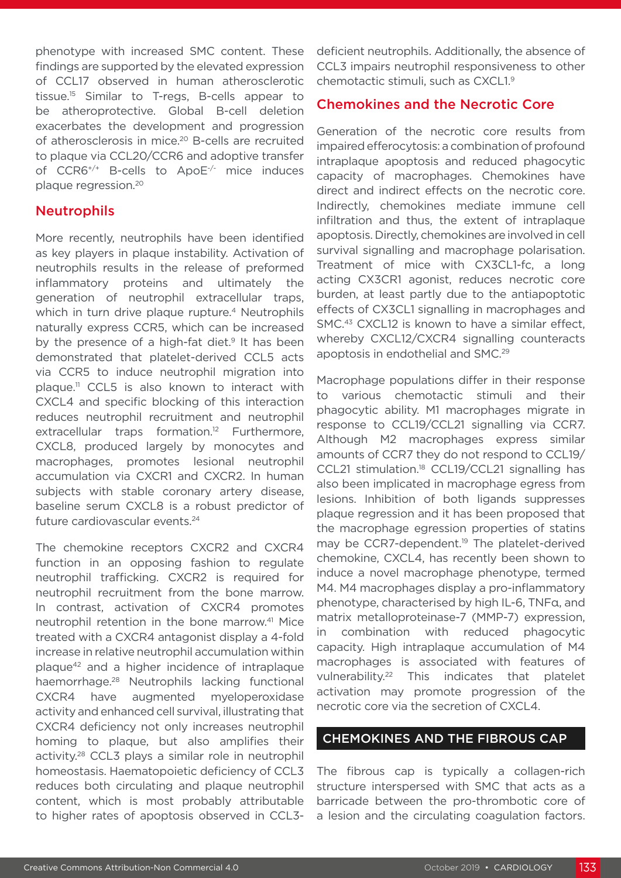phenotype with increased SMC content. These findings are supported by the elevated expression of CCL17 observed in human atherosclerotic tissue.15 Similar to T-regs, B-cells appear to be atheroprotective. Global B-cell deletion exacerbates the development and progression of atherosclerosis in mice.<sup>20</sup> B-cells are recruited to plaque via CCL20/CCR6 and adoptive transfer of CCR6+/+ B-cells to ApoE-/- mice induces plaque regression.20

#### Neutrophils

More recently, neutrophils have been identified as key players in plaque instability. Activation of neutrophils results in the release of preformed inflammatory proteins and ultimately the generation of neutrophil extracellular traps, which in turn drive plaque rupture.<sup>4</sup> Neutrophils naturally express CCR5, which can be increased by the presence of a high-fat diet. $9$  It has been demonstrated that platelet-derived CCL5 acts via CCR5 to induce neutrophil migration into plaque.11 CCL5 is also known to interact with CXCL4 and specific blocking of this interaction reduces neutrophil recruitment and neutrophil extracellular traps formation.<sup>12</sup> Furthermore, CXCL8, produced largely by monocytes and macrophages, promotes lesional neutrophil accumulation via CXCR1 and CXCR2. In human subjects with stable coronary artery disease, baseline serum CXCL8 is a robust predictor of future cardiovascular events.24

The chemokine receptors CXCR2 and CXCR4 function in an opposing fashion to regulate neutrophil trafficking. CXCR2 is required for neutrophil recruitment from the bone marrow. In contrast, activation of CXCR4 promotes neutrophil retention in the bone marrow.<sup>41</sup> Mice treated with a CXCR4 antagonist display a 4-fold increase in relative neutrophil accumulation within plaque42 and a higher incidence of intraplaque haemorrhage.28 Neutrophils lacking functional CXCR4 have augmented myeloperoxidase activity and enhanced cell survival, illustrating that CXCR4 deficiency not only increases neutrophil homing to plaque, but also amplifies their activity.28 CCL3 plays a similar role in neutrophil homeostasis. Haematopoietic deficiency of CCL3 reduces both circulating and plaque neutrophil content, which is most probably attributable to higher rates of apoptosis observed in CCL3deficient neutrophils. Additionally, the absence of CCL3 impairs neutrophil responsiveness to other chemotactic stimuli, such as CXCL1.9

#### Chemokines and the Necrotic Core

Generation of the necrotic core results from impaired efferocytosis: a combination of profound intraplaque apoptosis and reduced phagocytic capacity of macrophages. Chemokines have direct and indirect effects on the necrotic core. Indirectly, chemokines mediate immune cell infiltration and thus, the extent of intraplaque apoptosis. Directly, chemokines are involved in cell survival signalling and macrophage polarisation. Treatment of mice with CX3CL1-fc, a long acting CX3CR1 agonist, reduces necrotic core burden, at least partly due to the antiapoptotic effects of CX3CL1 signalling in macrophages and SMC.43 CXCL12 is known to have a similar effect, whereby CXCL12/CXCR4 signalling counteracts apoptosis in endothelial and SMC.29

Macrophage populations differ in their response to various chemotactic stimuli and their phagocytic ability. M1 macrophages migrate in response to CCL19/CCL21 signalling via CCR7. Although M2 macrophages express similar amounts of CCR7 they do not respond to CCL19/ CCL21 stimulation.18 CCL19/CCL21 signalling has also been implicated in macrophage egress from lesions. Inhibition of both ligands suppresses plaque regression and it has been proposed that the macrophage egression properties of statins may be CCR7-dependent.<sup>19</sup> The platelet-derived chemokine, CXCL4, has recently been shown to induce a novel macrophage phenotype, termed M4. M4 macrophages display a pro-inflammatory phenotype, characterised by high IL-6, TNFα, and matrix metalloproteinase-7 (MMP-7) expression, in combination with reduced phagocytic capacity. High intraplaque accumulation of M4 macrophages is associated with features of vulnerability.22 This indicates that platelet activation may promote progression of the necrotic core via the secretion of CXCL4.

#### CHEMOKINES AND THE FIBROUS CAP

The fibrous cap is typically a collagen-rich structure interspersed with SMC that acts as a barricade between the pro-thrombotic core of a lesion and the circulating coagulation factors.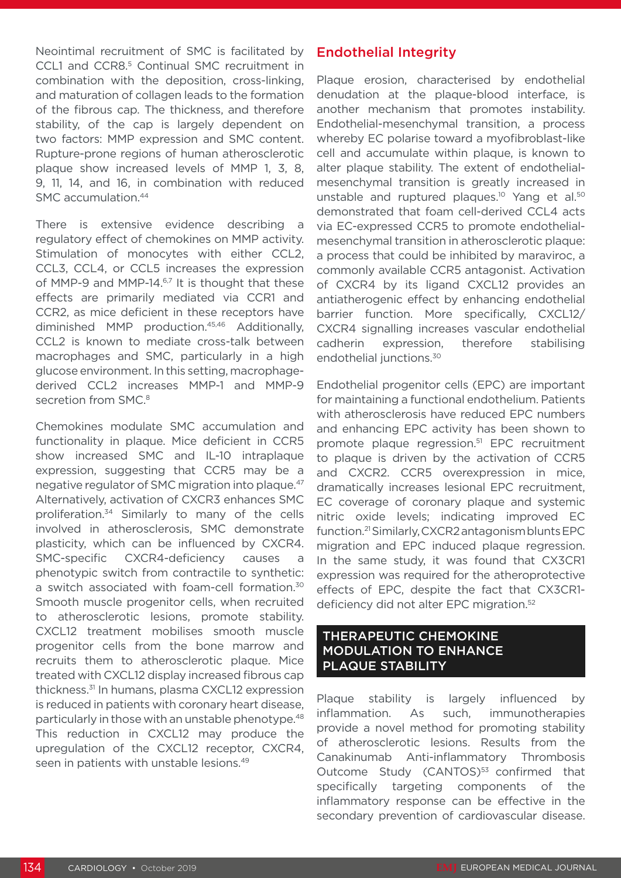Neointimal recruitment of SMC is facilitated by CCL1 and CCR8.<sup>5</sup> Continual SMC recruitment in combination with the deposition, cross-linking, and maturation of collagen leads to the formation of the fibrous cap. The thickness, and therefore stability, of the cap is largely dependent on two factors: MMP expression and SMC content. Rupture-prone regions of human atherosclerotic plaque show increased levels of MMP 1, 3, 8, 9, 11, 14, and 16, in combination with reduced SMC accumulation.<sup>44</sup>

There is extensive evidence describing a regulatory effect of chemokines on MMP activity. Stimulation of monocytes with either CCL2, CCL3, CCL4, or CCL5 increases the expression of MMP-9 and MMP-14.<sup>6,7</sup> It is thought that these effects are primarily mediated via CCR1 and CCR2, as mice deficient in these receptors have diminished MMP production.45,46 Additionally, CCL2 is known to mediate cross-talk between macrophages and SMC, particularly in a high glucose environment. In this setting, macrophagederived CCL2 increases MMP-1 and MMP-9 secretion from SMC.<sup>8</sup>

Chemokines modulate SMC accumulation and functionality in plaque. Mice deficient in CCR5 show increased SMC and IL-10 intraplaque expression, suggesting that CCR5 may be a negative regulator of SMC migration into plaque.47 Alternatively, activation of CXCR3 enhances SMC proliferation.34 Similarly to many of the cells involved in atherosclerosis, SMC demonstrate plasticity, which can be influenced by CXCR4. SMC-specific CXCR4-deficiency causes a phenotypic switch from contractile to synthetic: a switch associated with foam-cell formation.<sup>30</sup> Smooth muscle progenitor cells, when recruited to atherosclerotic lesions, promote stability. CXCL12 treatment mobilises smooth muscle progenitor cells from the bone marrow and recruits them to atherosclerotic plaque. Mice treated with CXCL12 display increased fibrous cap thickness.31 In humans, plasma CXCL12 expression is reduced in patients with coronary heart disease, particularly in those with an unstable phenotype.48 This reduction in CXCL12 may produce the upregulation of the CXCL12 receptor, CXCR4, seen in patients with unstable lesions.<sup>49</sup>

## Endothelial Integrity

Plaque erosion, characterised by endothelial denudation at the plaque-blood interface, is another mechanism that promotes instability. Endothelial-mesenchymal transition, a process whereby EC polarise toward a myofibroblast-like cell and accumulate within plaque, is known to alter plaque stability. The extent of endothelialmesenchymal transition is greatly increased in unstable and ruptured plaques.<sup>10</sup> Yang et al.<sup>50</sup> demonstrated that foam cell-derived CCL4 acts via EC-expressed CCR5 to promote endothelialmesenchymal transition in atherosclerotic plaque: a process that could be inhibited by maraviroc, a commonly available CCR5 antagonist. Activation of CXCR4 by its ligand CXCL12 provides an antiatherogenic effect by enhancing endothelial barrier function. More specifically, CXCL12/ CXCR4 signalling increases vascular endothelial cadherin expression, therefore stabilising endothelial junctions.<sup>30</sup>

Endothelial progenitor cells (EPC) are important for maintaining a functional endothelium. Patients with atherosclerosis have reduced EPC numbers and enhancing EPC activity has been shown to promote plaque regression.51 EPC recruitment to plaque is driven by the activation of CCR5 and CXCR2. CCR5 overexpression in mice, dramatically increases lesional EPC recruitment, EC coverage of coronary plaque and systemic nitric oxide levels; indicating improved EC function.21 Similarly, CXCR2 antagonism blunts EPC migration and EPC induced plaque regression. In the same study, it was found that CX3CR1 expression was required for the atheroprotective effects of EPC, despite the fact that CX3CR1 deficiency did not alter EPC migration.<sup>52</sup>

#### THERAPEUTIC CHEMOKINE MODULATION TO ENHANCE PLAQUE STABILITY

Plaque stability is largely influenced by inflammation. As such, immunotherapies provide a novel method for promoting stability of atherosclerotic lesions. Results from the Canakinumab Anti-inflammatory Thrombosis Outcome Study (CANTOS)<sup>53</sup> confirmed that specifically targeting components of the inflammatory response can be effective in the secondary prevention of cardiovascular disease.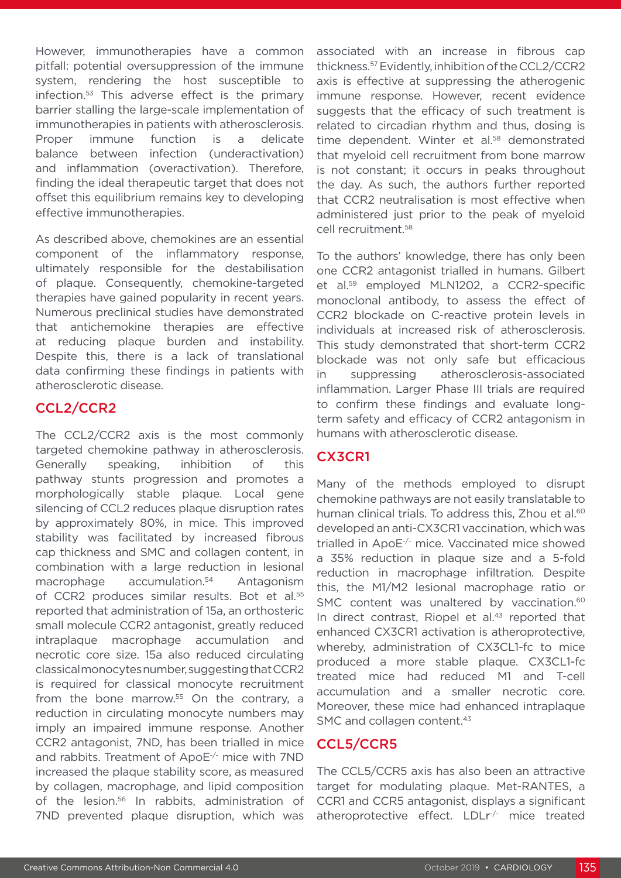However, immunotherapies have a common pitfall: potential oversuppression of the immune system, rendering the host susceptible to infection.53 This adverse effect is the primary barrier stalling the large-scale implementation of immunotherapies in patients with atherosclerosis. Proper immune function is a delicate balance between infection (underactivation) and inflammation (overactivation). Therefore, finding the ideal therapeutic target that does not offset this equilibrium remains key to developing effective immunotherapies.

As described above, chemokines are an essential component of the inflammatory response, ultimately responsible for the destabilisation of plaque. Consequently, chemokine-targeted therapies have gained popularity in recent years. Numerous preclinical studies have demonstrated that antichemokine therapies are effective at reducing plaque burden and instability. Despite this, there is a lack of translational data confirming these findings in patients with atherosclerotic disease.

## CCL2/CCR2

The CCL2/CCR2 axis is the most commonly targeted chemokine pathway in atherosclerosis. Generally speaking, inhibition of this pathway stunts progression and promotes a morphologically stable plaque. Local gene silencing of CCL2 reduces plaque disruption rates by approximately 80%, in mice. This improved stability was facilitated by increased fibrous cap thickness and SMC and collagen content, in combination with a large reduction in lesional macrophage accumulation.<sup>54</sup> Antagonism of CCR2 produces similar results. Bot et al.<sup>55</sup> reported that administration of 15a, an orthosteric small molecule CCR2 antagonist, greatly reduced intraplaque macrophage accumulation and necrotic core size. 15a also reduced circulating classicalmonocytes number, suggesting that CCR2 is required for classical monocyte recruitment from the bone marrow.<sup>55</sup> On the contrary, a reduction in circulating monocyte numbers may imply an impaired immune response. Another CCR2 antagonist, 7ND, has been trialled in mice and rabbits. Treatment of ApoE-/- mice with 7ND increased the plaque stability score, as measured by collagen, macrophage, and lipid composition of the lesion.<sup>56</sup> In rabbits, administration of 7ND prevented plaque disruption, which was

associated with an increase in fibrous cap thickness.57 Evidently, inhibition of the CCL2/CCR2 axis is effective at suppressing the atherogenic immune response. However, recent evidence suggests that the efficacy of such treatment is related to circadian rhythm and thus, dosing is time dependent. Winter et al.<sup>58</sup> demonstrated that myeloid cell recruitment from bone marrow is not constant; it occurs in peaks throughout the day. As such, the authors further reported that CCR2 neutralisation is most effective when administered just prior to the peak of myeloid cell recruitment.58

To the authors' knowledge, there has only been one CCR2 antagonist trialled in humans. Gilbert et al.59 employed MLN1202, a CCR2-specific monoclonal antibody, to assess the effect of CCR2 blockade on C-reactive protein levels in individuals at increased risk of atherosclerosis. This study demonstrated that short-term CCR2 blockade was not only safe but efficacious in suppressing atherosclerosis-associated inflammation. Larger Phase III trials are required to confirm these findings and evaluate longterm safety and efficacy of CCR2 antagonism in humans with atherosclerotic disease.

## CX3CR1

Many of the methods employed to disrupt chemokine pathways are not easily translatable to human clinical trials. To address this, Zhou et al.<sup>60</sup> developed an anti-CX3CR1 vaccination, which was trialled in ApoE-/- mice. Vaccinated mice showed a 35% reduction in plaque size and a 5-fold reduction in macrophage infiltration. Despite this, the M1/M2 lesional macrophage ratio or SMC content was unaltered by vaccination.<sup>60</sup> In direct contrast, Riopel et al.<sup>43</sup> reported that enhanced CX3CR1 activation is atheroprotective, whereby, administration of CX3CL1-fc to mice produced a more stable plaque. CX3CL1-fc treated mice had reduced M1 and T-cell accumulation and a smaller necrotic core. Moreover, these mice had enhanced intraplaque SMC and collagen content.<sup>43</sup>

## CCL5/CCR5

The CCL5/CCR5 axis has also been an attractive target for modulating plaque. Met-RANTES, a CCR1 and CCR5 antagonist, displays a significant atheroprotective effect. LDLr-/- mice treated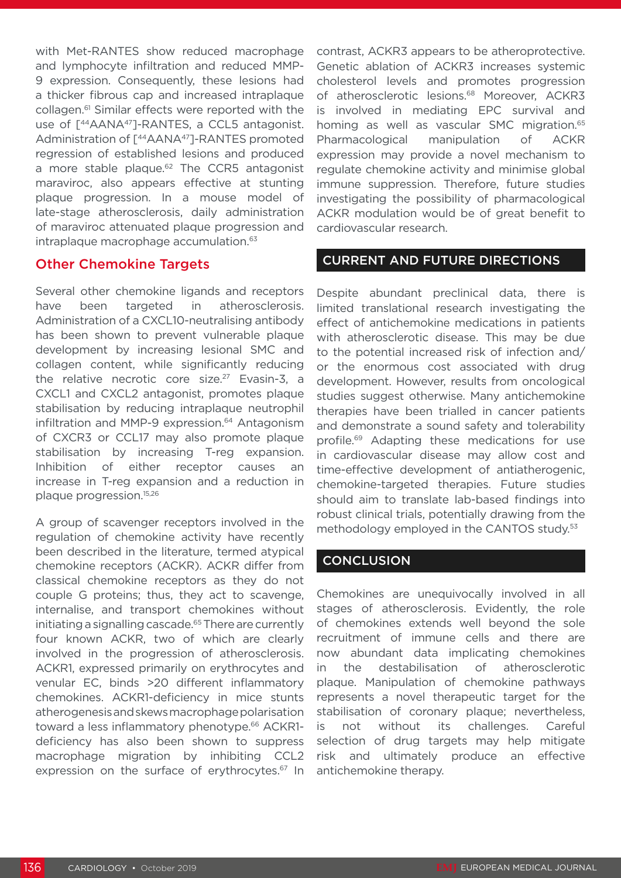with Met-RANTES show reduced macrophage and lymphocyte infiltration and reduced MMP-9 expression. Consequently, these lesions had a thicker fibrous cap and increased intraplaque collagen.61 Similar effects were reported with the use of  $\lceil$ <sup>44</sup>AANA<sup>47</sup>]-RANTES, a CCL5 antagonist. Administration of [44AANA47]-RANTES promoted regression of established lesions and produced a more stable plaque.<sup>62</sup> The CCR5 antagonist maraviroc, also appears effective at stunting plaque progression. In a mouse model of late-stage atherosclerosis, daily administration of maraviroc attenuated plaque progression and intraplaque macrophage accumulation.<sup>63</sup>

#### Other Chemokine Targets

Several other chemokine ligands and receptors have been targeted in atherosclerosis. Administration of a CXCL10-neutralising antibody has been shown to prevent vulnerable plaque development by increasing lesional SMC and collagen content, while significantly reducing the relative necrotic core size.<sup>27</sup> Evasin-3, a CXCL1 and CXCL2 antagonist, promotes plaque stabilisation by reducing intraplaque neutrophil infiltration and MMP-9 expression.<sup>64</sup> Antagonism of CXCR3 or CCL17 may also promote plaque stabilisation by increasing T-reg expansion. Inhibition of either receptor causes an increase in T-reg expansion and a reduction in plaque progression.15,26

A group of scavenger receptors involved in the regulation of chemokine activity have recently been described in the literature, termed atypical chemokine receptors (ACKR). ACKR differ from classical chemokine receptors as they do not couple G proteins; thus, they act to scavenge, internalise, and transport chemokines without initiating a signalling cascade.<sup>65</sup> There are currently four known ACKR, two of which are clearly involved in the progression of atherosclerosis. ACKR1, expressed primarily on erythrocytes and venular EC, binds >20 different inflammatory chemokines. ACKR1-deficiency in mice stunts atherogenesis and skews macrophage polarisation toward a less inflammatory phenotype.<sup>66</sup> ACKR1deficiency has also been shown to suppress macrophage migration by inhibiting CCL2 expression on the surface of erythrocytes.<sup>67</sup> In

contrast, ACKR3 appears to be atheroprotective. Genetic ablation of ACKR3 increases systemic cholesterol levels and promotes progression of atherosclerotic lesions.<sup>68</sup> Moreover, ACKR3 is involved in mediating EPC survival and homing as well as vascular SMC migration.<sup>65</sup> Pharmacological manipulation of ACKR expression may provide a novel mechanism to regulate chemokine activity and minimise global immune suppression. Therefore, future studies investigating the possibility of pharmacological ACKR modulation would be of great benefit to cardiovascular research.

#### CURRENT AND FUTURE DIRECTIONS

Despite abundant preclinical data, there is limited translational research investigating the effect of antichemokine medications in patients with atherosclerotic disease. This may be due to the potential increased risk of infection and/ or the enormous cost associated with drug development. However, results from oncological studies suggest otherwise. Many antichemokine therapies have been trialled in cancer patients and demonstrate a sound safety and tolerability profile.<sup>69</sup> Adapting these medications for use in cardiovascular disease may allow cost and time-effective development of antiatherogenic, chemokine-targeted therapies. Future studies should aim to translate lab-based findings into robust clinical trials, potentially drawing from the methodology employed in the CANTOS study.<sup>53</sup>

### **CONCLUSION**

Chemokines are unequivocally involved in all stages of atherosclerosis. Evidently, the role of chemokines extends well beyond the sole recruitment of immune cells and there are now abundant data implicating chemokines in the destabilisation of atherosclerotic plaque. Manipulation of chemokine pathways represents a novel therapeutic target for the stabilisation of coronary plaque; nevertheless, is not without its challenges. Careful selection of drug targets may help mitigate risk and ultimately produce an effective antichemokine therapy.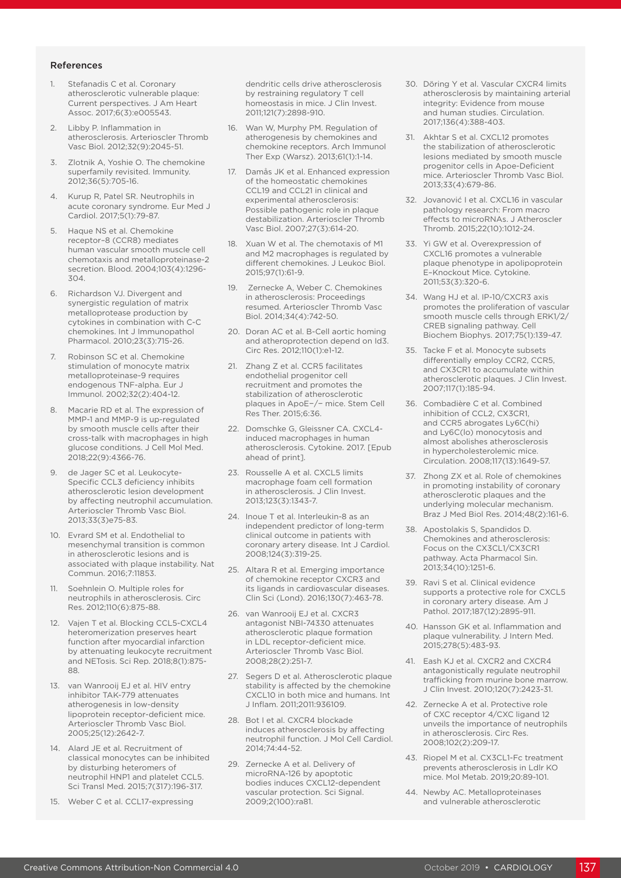#### References

- 1. Stefanadis C et al. Coronary atherosclerotic vulnerable plaque: Current perspectives. J Am Heart Assoc. 2017;6(3):e005543.
- 2. Libby P. Inflammation in atherosclerosis. Arterioscler Thromb Vasc Biol. 2012;32(9):2045-51.
- 3. Zlotnik A, Yoshie O. The chemokine superfamily revisited. Immunity. 2012;36(5):705-16.
- 4. Kurup R, Patel SR. Neutrophils in acute coronary syndrome. Eur Med J Cardiol. 2017;5(1):79-87.
- Haque NS et al. Chemokine receptor–8 (CCR8) mediates human vascular smooth muscle cell chemotaxis and metalloproteinase-2 secretion. Blood. 2004;103(4):1296- 304.
- 6. Richardson VJ. Divergent and synergistic regulation of matrix metalloprotease production by cytokines in combination with C-C chemokines. Int J Immunopathol Pharmacol. 2010;23(3):715-26.
- 7. Robinson SC et al. Chemokine stimulation of monocyte matrix metalloproteinase-9 requires endogenous TNF-alpha. Eur J Immunol. 2002;32(2):404-12.
- 8. Macarie RD et al. The expression of MMP-1 and MMP-9 is up-regulated by smooth muscle cells after their cross-talk with macrophages in high glucose conditions. J Cell Mol Med. 2018;22(9):4366-76.
- 9. de Jager SC et al. Leukocyte-Specific CCL3 deficiency inhibits atherosclerotic lesion development by affecting neutrophil accumulation. Arterioscler Thromb Vasc Biol. 2013;33(3)e75-83.
- 10. Evrard SM et al. Endothelial to mesenchymal transition is common in atherosclerotic lesions and is associated with plaque instability. Nat Commun. 2016;7:11853.
- 11. Soehnlein O. Multiple roles for neutrophils in atherosclerosis. Circ Res. 2012;110(6):875-88.
- 12. Vajen T et al. Blocking CCL5-CXCL4 heteromerization preserves heart function after myocardial infarction by attenuating leukocyte recruitment and NETosis. Sci Rep. 2018;8(1):875- 88.
- 13. van Wanrooij EJ et al. HIV entry inhibitor TAK-779 attenuates atherogenesis in low-density lipoprotein receptor-deficient mice. Arterioscler Thromb Vasc Biol. 2005;25(12):2642-7.
- 14. Alard JE et al. Recruitment of classical monocytes can be inhibited by disturbing heteromers of neutrophil HNP1 and platelet CCL5. Sci Transl Med. 2015;7(317):196-317.
- 15. Weber C et al. CCL17-expressing

dendritic cells drive atherosclerosis by restraining regulatory T cell homeostasis in mice. J Clin Invest. 2011;121(7):2898-910.

- 16. Wan W, Murphy PM. Regulation of atherogenesis by chemokines and chemokine receptors. Arch Immunol Ther Exp (Warsz). 2013;61(1):1-14.
- 17. Damås JK et al. Enhanced expression of the homeostatic chemokines CCL19 and CCL21 in clinical and experimental atherosclerosis: Possible pathogenic role in plaque destabilization. Arterioscler Thromb Vasc Biol. 2007;27(3):614-20.
- 18. Xuan W et al. The chemotaxis of M1 and M2 macrophages is regulated by different chemokines. J Leukoc Biol. 2015;97(1):61-9.
- 19. Zernecke A, Weber C. Chemokines in atherosclerosis: Proceedings resumed. Arterioscler Thromb Vasc Biol. 2014;34(4):742-50.
- 20. Doran AC et al. B-Cell aortic homing and atheroprotection depend on Id3. Circ Res. 2012;110(1):e1-12.
- 21. Zhang Z et al. CCR5 facilitates endothelial progenitor cell recruitment and promotes the stabilization of atherosclerotic plaques in ApoE−/− mice. Stem Cell Res Ther. 2015;6:36.
- 22. Domschke G, Gleissner CA. CXCL4 induced macrophages in human atherosclerosis. Cytokine. 2017. [Epub ahead of print].
- 23. Rousselle A et al. CXCL5 limits macrophage foam cell formation in atherosclerosis. J Clin Invest. 2013;123(3):1343-7.
- 24. Inoue T et al. Interleukin-8 as an independent predictor of long-term clinical outcome in patients with coronary artery disease. Int J Cardiol. 2008;124(3):319-25.
- 25. Altara R et al. Emerging importance of chemokine receptor CXCR3 and its ligands in cardiovascular diseases. Clin Sci (Lond). 2016;130(7):463-78.
- 26. van Wanrooij EJ et al. CXCR3 antagonist NBI-74330 attenuates atherosclerotic plaque formation in LDL receptor-deficient mice. Arterioscler Thromb Vasc Biol. 2008;28(2):251-7.
- 27. Segers D et al. Atherosclerotic plaque stability is affected by the chemokine CXCL10 in both mice and humans. Int J Inflam. 2011;2011:936109.
- 28. Bot I et al. CXCR4 blockade induces atherosclerosis by affecting neutrophil function. J Mol Cell Cardiol. 2014;74:44-52.
- 29. Zernecke A et al. Delivery of microRNA-126 by apoptotic bodies induces CXCL12-dependent vascular protection. Sci Signal. 2009;2(100):ra81.
- 30. Döring Y et al. Vascular CXCR4 limits atherosclerosis by maintaining arterial integrity: Evidence from mouse and human studies. Circulation. 2017;136(4):388-403.
- 31. Akhtar S et al. CXCL12 promotes the stabilization of atherosclerotic lesions mediated by smooth muscle progenitor cells in Apoe-Deficient mice. Arterioscler Thromb Vasc Biol. 2013;33(4):679-86.
- 32. Jovanović I et al. CXCL16 in vascular pathology research: From macro effects to microRNAs. J Atheroscler Thromb. 2015;22(10):1012-24.
- 33. Yi GW et al. Overexpression of CXCL16 promotes a vulnerable plaque phenotype in apolipoprotein E–Knockout Mice. Cytokine. 2011;53(3):320-6.
- 34. Wang HJ et al. IP-10/CXCR3 axis promotes the proliferation of vascular smooth muscle cells through ERK1/2/ CREB signaling pathway. Cell Biochem Biophys. 2017;75(1):139-47.
- 35. Tacke F et al. Monocyte subsets differentially employ CCR2, CCR5, and CX3CR1 to accumulate within atherosclerotic plaques. J Clin Invest. 2007;117(1):185-94.
- 36. Combadière C et al. Combined inhibition of CCL2, CX3CR1, and CCR5 abrogates Ly6C(hi) and Ly6C(lo) monocytosis and almost abolishes atherosclerosis in hypercholesterolemic mice. Circulation. 2008;117(13):1649-57.
- 37. Zhong ZX et al. Role of chemokines in promoting instability of coronary atherosclerotic plaques and the underlying molecular mechanism. Braz J Med Biol Res. 2014;48(2):161-6.
- 38. Apostolakis S, Spandidos D. Chemokines and atherosclerosis: Focus on the CX3CL1/CX3CR1 pathway. Acta Pharmacol Sin. 2013;34(10):1251-6.
- 39. Ravi S et al. Clinical evidence supports a protective role for CXCL5 in coronary artery disease. Am J Pathol. 2017;187(12):2895-911.
- 40. Hansson GK et al. Inflammation and plaque vulnerability. J Intern Med. 2015;278(5):483-93.
- 41. Eash KJ et al. CXCR2 and CXCR4 antagonistically regulate neutrophil trafficking from murine bone marrow. J Clin Invest. 2010;120(7):2423-31.
- 42. Zernecke A et al. Protective role of CXC receptor 4/CXC ligand 12 unveils the importance of neutrophils in atherosclerosis. Circ Res. 2008;102(2):209-17.
- 43. Riopel M et al. CX3CL1-Fc treatment prevents atherosclerosis in Ldlr KO mice. Mol Metab. 2019;20:89-101.
- 44. Newby AC. Metalloproteinases and vulnerable atherosclerotic